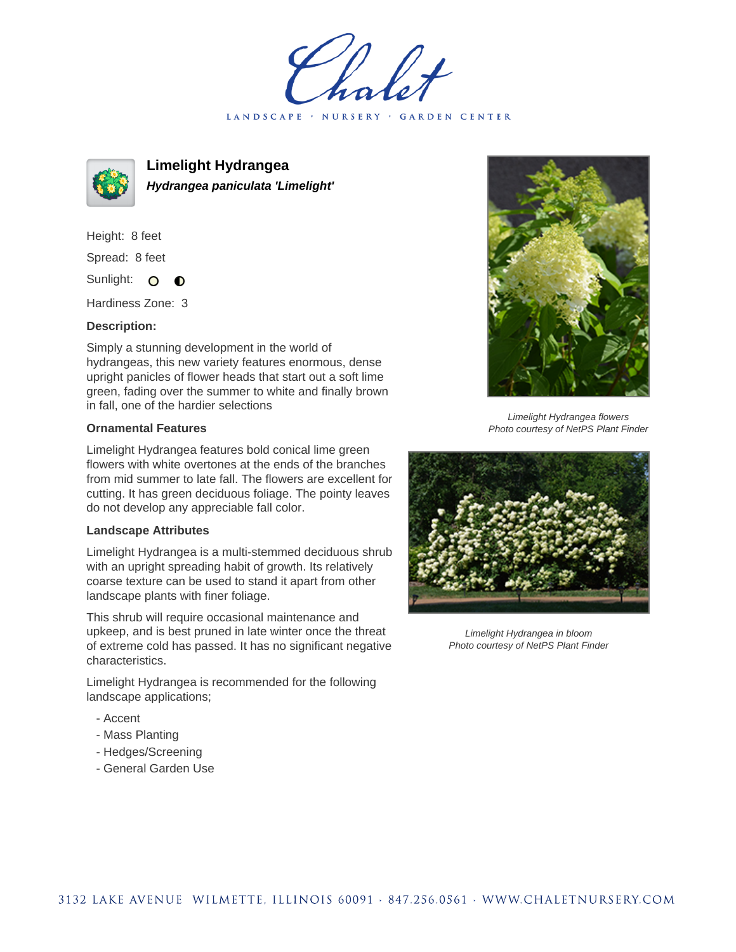LANDSCAPE · NURSERY · GARDEN CENTER



**Limelight Hydrangea Hydrangea paniculata 'Limelight'**

Height: 8 feet Spread: 8 feet Sunlight: O  $\bullet$ 

Hardiness Zone: 3

## **Description:**

Simply a stunning development in the world of hydrangeas, this new variety features enormous, dense upright panicles of flower heads that start out a soft lime green, fading over the summer to white and finally brown in fall, one of the hardier selections

## **Ornamental Features**

Limelight Hydrangea features bold conical lime green flowers with white overtones at the ends of the branches from mid summer to late fall. The flowers are excellent for cutting. It has green deciduous foliage. The pointy leaves do not develop any appreciable fall color.

## **Landscape Attributes**

Limelight Hydrangea is a multi-stemmed deciduous shrub with an upright spreading habit of growth. Its relatively coarse texture can be used to stand it apart from other landscape plants with finer foliage.

This shrub will require occasional maintenance and upkeep, and is best pruned in late winter once the threat of extreme cold has passed. It has no significant negative characteristics.

Limelight Hydrangea is recommended for the following landscape applications;

- Accent
- Mass Planting
- Hedges/Screening
- General Garden Use



Limelight Hydrangea flowers Photo courtesy of NetPS Plant Finder



Limelight Hydrangea in bloom Photo courtesy of NetPS Plant Finder